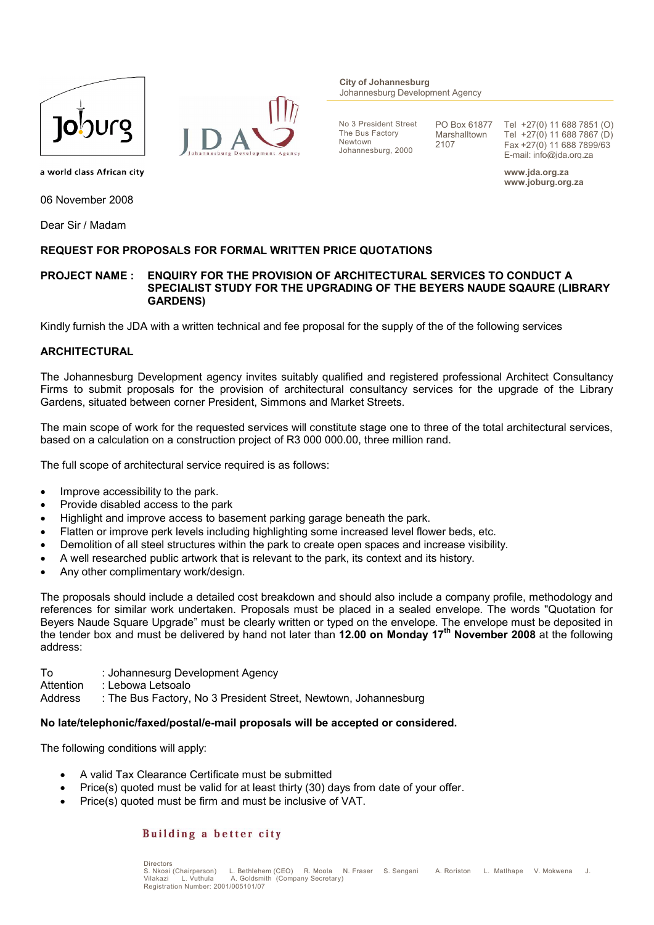



**City of Johannesburg** Johannesburg Development Agency

No 3 President Street The Bus Factory Newtown Johannesburg, 2000

PO Box 61877 Marshalltown 2107

Tel +27(0) 11 688 7851 (O) Tel +27(0) 11 688 7867 (D) Fax +27(0) 11 688 7899/63 E-mail: info@jda.org.za

**www.jda.org.za www.joburg.org.za**

a world class African city

06 November 2008

Dear Sir / Madam

# **REQUEST FOR PROPOSALS FOR FORMAL WRITTEN PRICE QUOTATIONS**

# **PROJECT NAME : ENQUIRY FOR THE PROVISION OF ARCHITECTURAL SERVICES TO CONDUCT A SPECIALIST STUDY FOR THE UPGRADING OF THE BEYERS NAUDE SQAURE (LIBRARY GARDENS)**

Kindly furnish the JDA with a written technical and fee proposal for the supply of the of the following services

# **ARCHITECTURAL**

The Johannesburg Development agency invites suitably qualified and registered professional Architect Consultancy Firms to submit proposals for the provision of architectural consultancy services for the upgrade of the Library Gardens, situated between corner President, Simmons and Market Streets.

The main scope of work for the requested services will constitute stage one to three of the total architectural services, based on a calculation on a construction project of R3 000 000.00, three million rand.

The full scope of architectural service required is as follows:

- Improve accessibility to the park.
- Provide disabled access to the park
- Highlight and improve access to basement parking garage beneath the park.
- Flatten or improve perk levels including highlighting some increased level flower beds, etc.
- Demolition of all steel structures within the park to create open spaces and increase visibility.
- A well researched public artwork that is relevant to the park, its context and its history.
- Any other complimentary work/design.

The proposals should include a detailed cost breakdown and should also include a company profile, methodology and references for similar work undertaken. Proposals must be placed in a sealed envelope. The words "Quotation for Beyers Naude Square Upgrade" must be clearly written or typed on the envelope. The envelope must be deposited in the tender box and must be delivered by hand not later than **12.00 on Monday 17th November 2008** at the following address:

To : Johannesurg Development Agency Attention : Lebowa Letsoalo Address : The Bus Factory, No 3 President Street, Newtown, Johannesburg

### **No late/telephonic/faxed/postal/e-mail proposals will be accepted or considered.**

The following conditions will apply:

- A valid Tax Clearance Certificate must be submitted
- Price(s) quoted must be valid for at least thirty (30) days from date of your offer.
- Price(s) quoted must be firm and must be inclusive of VAT.

# Building a better city